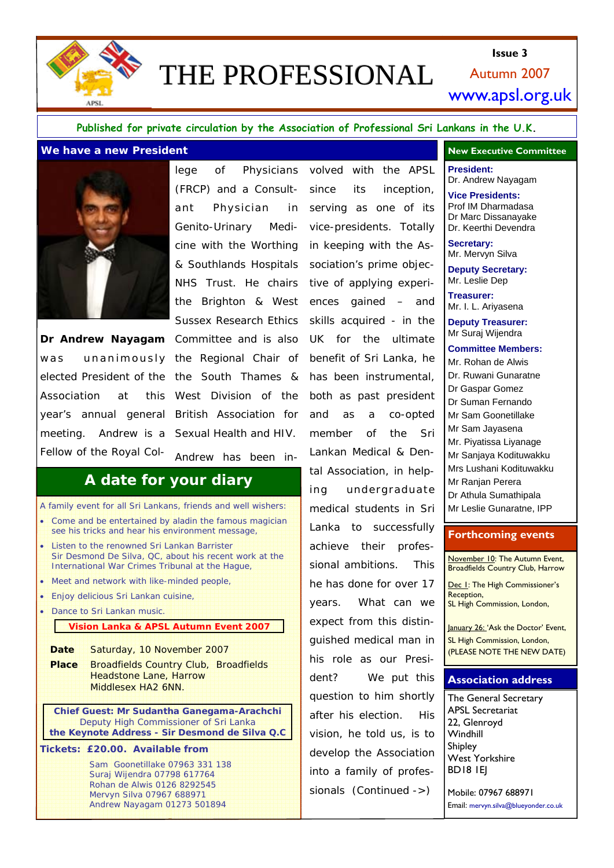

# THE PROFESSIONAL

Autumn 2007 **Issue 3**  www.apsl.org.uk

#### **Published for private circulation by the Association of Professional Sri Lankans in the U.K.**

#### **Me have a new President <b>All and Accord Committee New Executive Committee New Executive Committee**



**Dr Andrew Nayagam** Committee and is also was unanimously the Regional Chair of elected President of the the South Thames & Association at this year's annual general British Association for meeting. Andrew is a Sexual Health and HIV. Fellow of the Royal Col-

(FRCP) and a Consultant Physician in Genito-Urinary Medicine with the Worthing & Southlands Hospitals NHS Trust. He chairs the Brighton & West Sussex Research Ethics West Division of the Andrew has been in-

## **A date for your diary**

- A family event for all Sri Lankans, friends and well wishers: • Come and be entertained by aladin the famous magician see his tricks and hear his environment message,
- Listen to the renowned Sri Lankan Barrister Sir Desmond De Silva, QC, about his recent work at the International War Crimes Tribunal at the Hague,
- Meet and network with like-minded people,
- Enjoy delicious Sri Lankan cuisine,
- Dance to Sri Lankan music.

### **Vision Lanka & APSL Autumn Event 2007**

**Date** Saturday, 10 November 2007

**Place** Broadfields Country Club, Broadfields Headstone Lane, Harrow Middlesex HA2 6NN.

*Chief Guest: Mr Sudantha Ganegama-Arachchi Deputy High Commissioner of Sri Lanka the Keynote Address - Sir Desmond de Silva Q.C*

**Tickets: £20.00. Available from** 

Sam Goonetillake 07963 331 138 Suraj Wijendra 07798 617764 Rohan de Alwis 0126 8292545 Mervyn Silva 07967 688971 Andrew Nayagam 01273 501894

lege of Physicians volved with the APSL since its inception, serving as one of its vice-presidents. Totally in keeping with the Association's prime objective of applying experiences gained – and skills acquired - in the UK for the ultimate benefit of Sri Lanka, he has been instrumental, both as past president and as a co-opted member of the Sri Lankan Medical & Dental Association, in helping undergraduate medical students in Sri Lanka to successfully achieve their professional ambitions. This he has done for over 17 years. What can we expect from this distinguished medical man in his role as our President? We put this question to him shortly after his election. His vision, he told us, is to develop the Association into a family of professionals (Continued ->)

**President:**  Dr. Andrew Nayagam

**Vice Presidents:** Prof IM Dharmadasa Dr Marc Dissanayake Dr. Keerthi Devendra

**Secretary:**  Mr. Mervyn Silva

**Deputy Secretary:**  Mr. Leslie Dep

**Treasurer:**  Mr. I. L. Ariyasena

**Deputy Treasurer:** Mr Suraj Wijendra

**Committee Members:** Mr. Rohan de Alwis Dr. Ruwani Gunaratne Dr Gaspar Gomez Dr Suman Fernando Mr Sam Goonetillake Mr Sam Jayasena Mr. Piyatissa Liyanage Mr Sanjaya Kodituwakku Mrs Lushani Kodituwakku Mr Ranjan Perera Dr Athula Sumathipala Mr Leslie Gunaratne, IPP

#### **Forthcoming events**

November 10: The Autumn Event, Broadfields Country Club, Harrow

Dec I: The High Commissioner's Reception, SL High Commission, London,

January 26: 'Ask the Doctor' Event, SL High Commission, London, (PLEASE NOTE THE NEW DATE)

#### **Association address**

The General Secretary APSL Secretariat 22, Glenroyd **Windhill** Shipley West Yorkshire BD18 1EJ

Mobile: 07967 688971 Email: mervyn.silva@blueyonder.co.uk